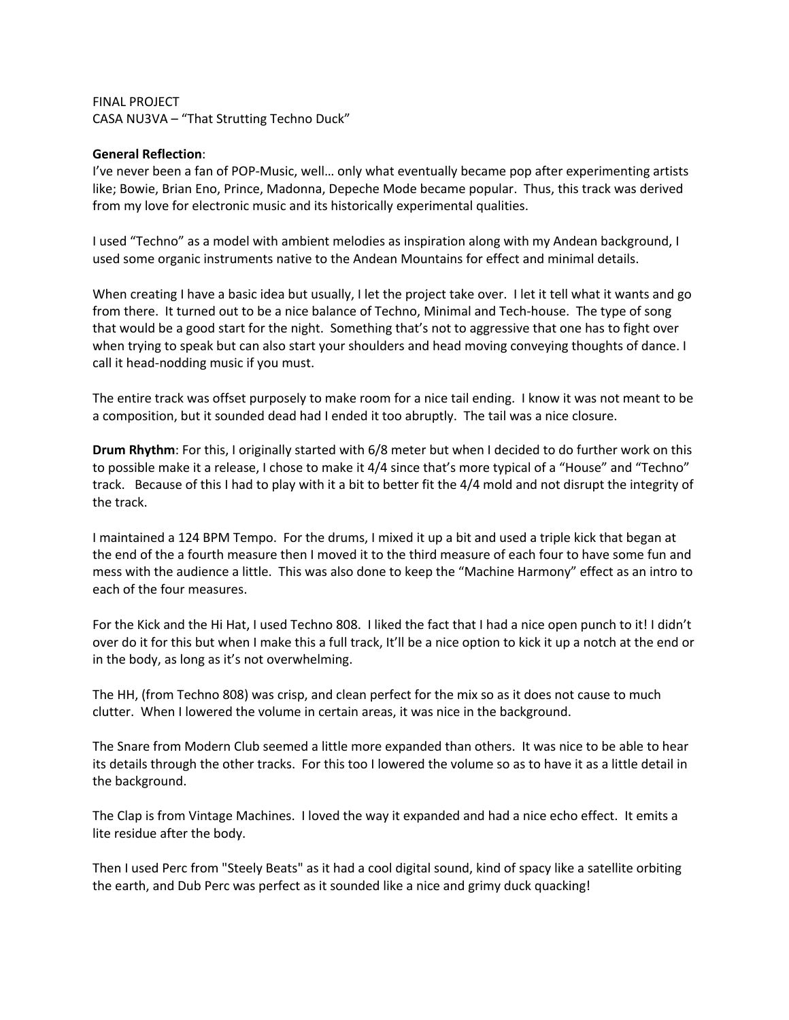FINAL PROJECT CASA NU3VA – "That Strutting Techno Duck"

## **General Reflection**:

I've never been a fan of POP-Music, well… only what eventually became pop after experimenting artists like; Bowie, Brian Eno, Prince, Madonna, Depeche Mode became popular. Thus, this track was derived from my love for electronic music and its historically experimental qualities.

I used "Techno" as a model with ambient melodies as inspiration along with my Andean background, I used some organic instruments native to the Andean Mountains for effect and minimal details.

When creating I have a basic idea but usually, I let the project take over. I let it tell what it wants and go from there. It turned out to be a nice balance of Techno, Minimal and Tech-house. The type of song that would be a good start for the night. Something that's not to aggressive that one has to fight over when trying to speak but can also start your shoulders and head moving conveying thoughts of dance. I call it head-nodding music if you must.

The entire track was offset purposely to make room for a nice tail ending. I know it was not meant to be a composition, but it sounded dead had I ended it too abruptly. The tail was a nice closure.

**Drum Rhythm**: For this, I originally started with 6/8 meter but when I decided to do further work on this to possible make it a release, I chose to make it 4/4 since that's more typical of a "House" and "Techno" track. Because of this I had to play with it a bit to better fit the 4/4 mold and not disrupt the integrity of the track.

I maintained a 124 BPM Tempo. For the drums, I mixed it up a bit and used a triple kick that began at the end of the a fourth measure then I moved it to the third measure of each four to have some fun and mess with the audience a little. This was also done to keep the "Machine Harmony" effect as an intro to each of the four measures.

For the Kick and the Hi Hat, I used Techno 808. I liked the fact that I had a nice open punch to it! I didn't over do it for this but when I make this a full track, It'll be a nice option to kick it up a notch at the end or in the body, as long as it's not overwhelming.

The HH, (from Techno 808) was crisp, and clean perfect for the mix so as it does not cause to much clutter. When I lowered the volume in certain areas, it was nice in the background.

The Snare from Modern Club seemed a little more expanded than others. It was nice to be able to hear its details through the other tracks. For this too I lowered the volume so as to have it as a little detail in the background.

The Clap is from Vintage Machines. I loved the way it expanded and had a nice echo effect. It emits a lite residue after the body.

Then I used Perc from "Steely Beats" as it had a cool digital sound, kind of spacy like a satellite orbiting the earth, and Dub Perc was perfect as it sounded like a nice and grimy duck quacking!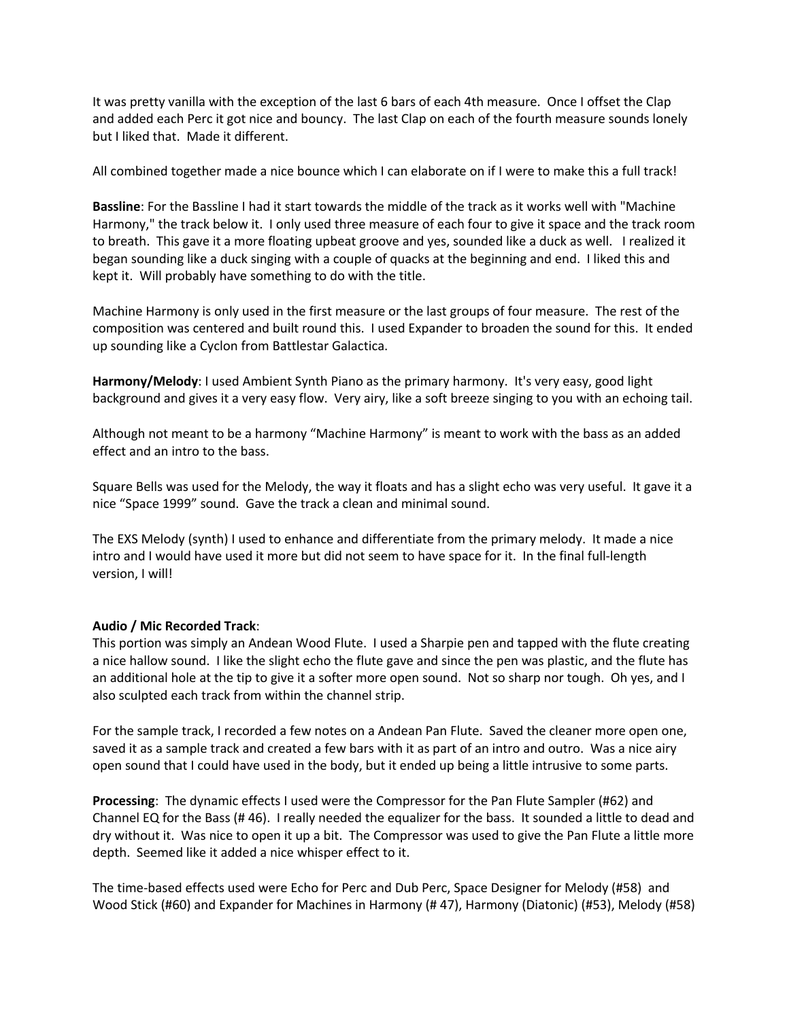It was pretty vanilla with the exception of the last 6 bars of each 4th measure. Once I offset the Clap and added each Perc it got nice and bouncy. The last Clap on each of the fourth measure sounds lonely but I liked that. Made it different.

All combined together made a nice bounce which I can elaborate on if I were to make this a full track!

**Bassline**: For the Bassline I had it start towards the middle of the track as it works well with "Machine Harmony," the track below it. I only used three measure of each four to give it space and the track room to breath. This gave it a more floating upbeat groove and yes, sounded like a duck as well. I realized it began sounding like a duck singing with a couple of quacks at the beginning and end. I liked this and kept it. Will probably have something to do with the title.

Machine Harmony is only used in the first measure or the last groups of four measure. The rest of the composition was centered and built round this. I used Expander to broaden the sound for this. It ended up sounding like a Cyclon from Battlestar Galactica.

**Harmony/Melody**: I used Ambient Synth Piano as the primary harmony. It's very easy, good light background and gives it a very easy flow. Very airy, like a soft breeze singing to you with an echoing tail.

Although not meant to be a harmony "Machine Harmony" is meant to work with the bass as an added effect and an intro to the bass.

Square Bells was used for the Melody, the way it floats and has a slight echo was very useful. It gave it a nice "Space 1999" sound. Gave the track a clean and minimal sound.

The EXS Melody (synth) I used to enhance and differentiate from the primary melody. It made a nice intro and I would have used it more but did not seem to have space for it. In the final full-length version, I will!

## **Audio / Mic Recorded Track**:

This portion was simply an Andean Wood Flute. I used a Sharpie pen and tapped with the flute creating a nice hallow sound. I like the slight echo the flute gave and since the pen was plastic, and the flute has an additional hole at the tip to give it a softer more open sound. Not so sharp nor tough. Oh yes, and I also sculpted each track from within the channel strip.

For the sample track, I recorded a few notes on a Andean Pan Flute. Saved the cleaner more open one, saved it as a sample track and created a few bars with it as part of an intro and outro. Was a nice airy open sound that I could have used in the body, but it ended up being a little intrusive to some parts.

**Processing**: The dynamic effects I used were the Compressor for the Pan Flute Sampler (#62) and Channel EQ for the Bass (# 46). I really needed the equalizer for the bass. It sounded a little to dead and dry without it. Was nice to open it up a bit. The Compressor was used to give the Pan Flute a little more depth. Seemed like it added a nice whisper effect to it.

The time-based effects used were Echo for Perc and Dub Perc, Space Designer for Melody (#58) and Wood Stick (#60) and Expander for Machines in Harmony (# 47), Harmony (Diatonic) (#53), Melody (#58)